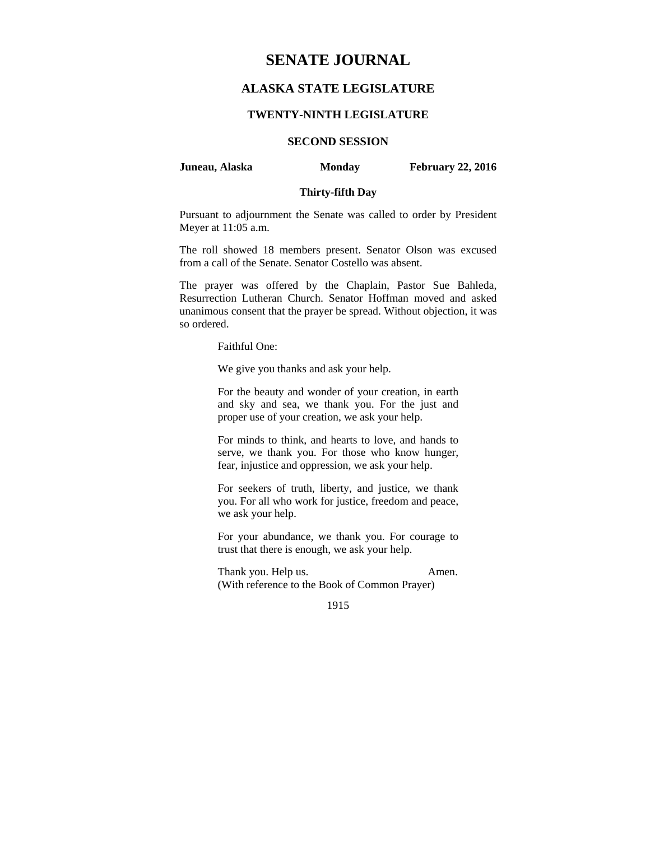# **SENATE JOURNAL**

## **ALASKA STATE LEGISLATURE**

### **TWENTY-NINTH LEGISLATURE**

## **SECOND SESSION**

**Juneau, Alaska Monday February 22, 2016** 

## **Thirty-fifth Day**

Pursuant to adjournment the Senate was called to order by President Meyer at 11:05 a.m.

The roll showed 18 members present. Senator Olson was excused from a call of the Senate. Senator Costello was absent.

The prayer was offered by the Chaplain, Pastor Sue Bahleda, Resurrection Lutheran Church. Senator Hoffman moved and asked unanimous consent that the prayer be spread. Without objection, it was so ordered.

Faithful One:

We give you thanks and ask your help.

For the beauty and wonder of your creation, in earth and sky and sea, we thank you. For the just and proper use of your creation, we ask your help.

For minds to think, and hearts to love, and hands to serve, we thank you. For those who know hunger, fear, injustice and oppression, we ask your help.

For seekers of truth, liberty, and justice, we thank you. For all who work for justice, freedom and peace, we ask your help.

For your abundance, we thank you. For courage to trust that there is enough, we ask your help.

Thank you. Help us. Amen. (With reference to the Book of Common Prayer)

1915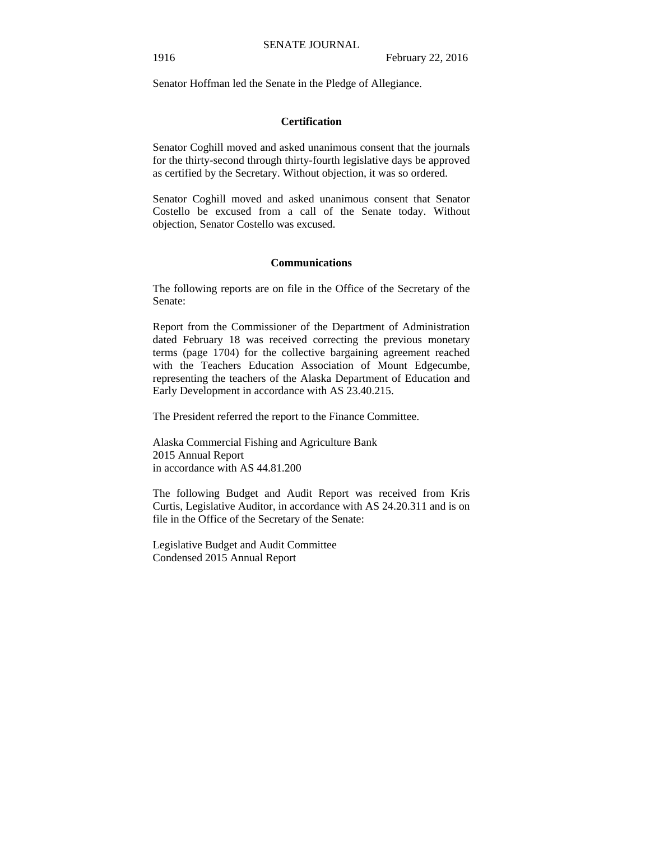Senator Hoffman led the Senate in the Pledge of Allegiance.

## **Certification**

Senator Coghill moved and asked unanimous consent that the journals for the thirty-second through thirty-fourth legislative days be approved as certified by the Secretary. Without objection, it was so ordered.

Senator Coghill moved and asked unanimous consent that Senator Costello be excused from a call of the Senate today. Without objection, Senator Costello was excused.

#### **Communications**

The following reports are on file in the Office of the Secretary of the Senate:

Report from the Commissioner of the Department of Administration dated February 18 was received correcting the previous monetary terms (page 1704) for the collective bargaining agreement reached with the Teachers Education Association of Mount Edgecumbe, representing the teachers of the Alaska Department of Education and Early Development in accordance with AS 23.40.215.

The President referred the report to the Finance Committee.

Alaska Commercial Fishing and Agriculture Bank 2015 Annual Report in accordance with AS 44.81.200

The following Budget and Audit Report was received from Kris Curtis, Legislative Auditor, in accordance with AS 24.20.311 and is on file in the Office of the Secretary of the Senate:

Legislative Budget and Audit Committee Condensed 2015 Annual Report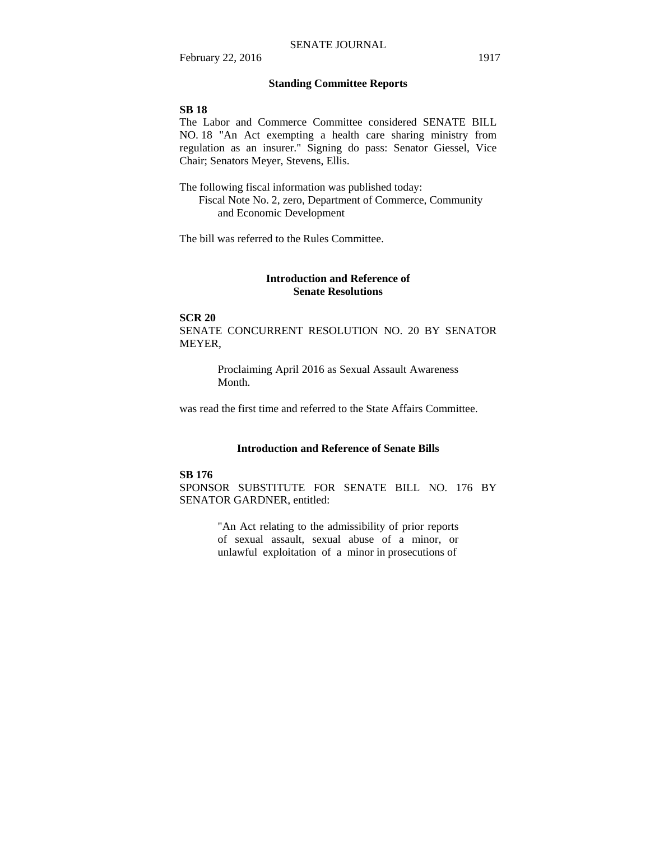## **Standing Committee Reports**

#### **SB 18**

The Labor and Commerce Committee considered SENATE BILL NO. 18 "An Act exempting a health care sharing ministry from regulation as an insurer." Signing do pass: Senator Giessel, Vice Chair; Senators Meyer, Stevens, Ellis.

The following fiscal information was published today: Fiscal Note No. 2, zero, Department of Commerce, Community and Economic Development

The bill was referred to the Rules Committee.

## **Introduction and Reference of Senate Resolutions**

#### **SCR 20**

SENATE CONCURRENT RESOLUTION NO. 20 BY SENATOR MEYER,

> Proclaiming April 2016 as Sexual Assault Awareness Month.

was read the first time and referred to the State Affairs Committee.

#### **Introduction and Reference of Senate Bills**

#### **SB 176**

SPONSOR SUBSTITUTE FOR SENATE BILL NO. 176 BY SENATOR GARDNER, entitled:

> "An Act relating to the admissibility of prior reports of sexual assault, sexual abuse of a minor, or unlawful exploitation of a minor in prosecutions of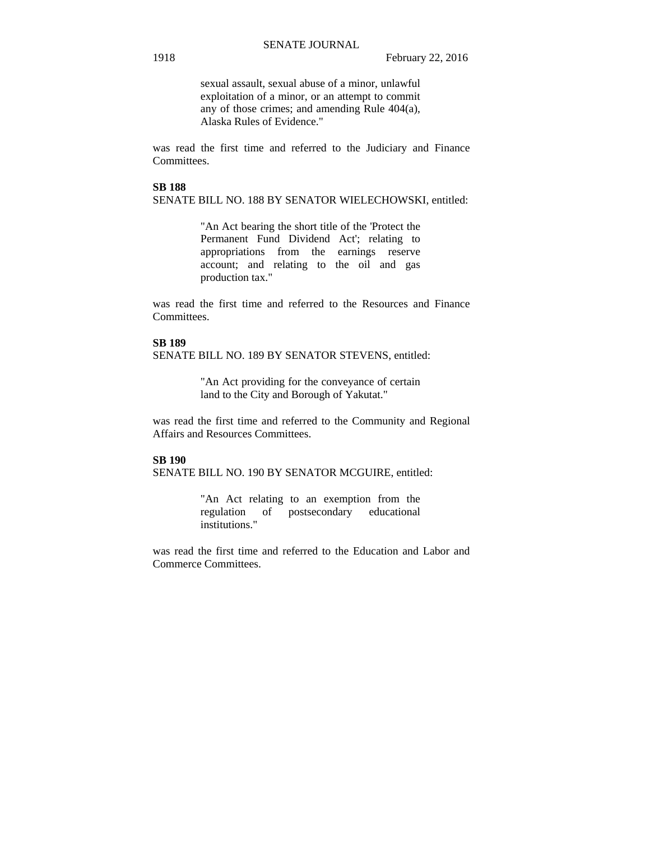sexual assault, sexual abuse of a minor, unlawful exploitation of a minor, or an attempt to commit any of those crimes; and amending Rule 404(a), Alaska Rules of Evidence."

was read the first time and referred to the Judiciary and Finance Committees.

## **SB 188**

SENATE BILL NO. 188 BY SENATOR WIELECHOWSKI, entitled:

"An Act bearing the short title of the 'Protect the Permanent Fund Dividend Act'; relating to appropriations from the earnings reserve account; and relating to the oil and gas production tax."

was read the first time and referred to the Resources and Finance Committees.

#### **SB 189**

SENATE BILL NO. 189 BY SENATOR STEVENS, entitled:

"An Act providing for the conveyance of certain land to the City and Borough of Yakutat."

was read the first time and referred to the Community and Regional Affairs and Resources Committees.

#### **SB 190**

SENATE BILL NO. 190 BY SENATOR MCGUIRE, entitled:

"An Act relating to an exemption from the regulation of postsecondary educational institutions."

was read the first time and referred to the Education and Labor and Commerce Committees.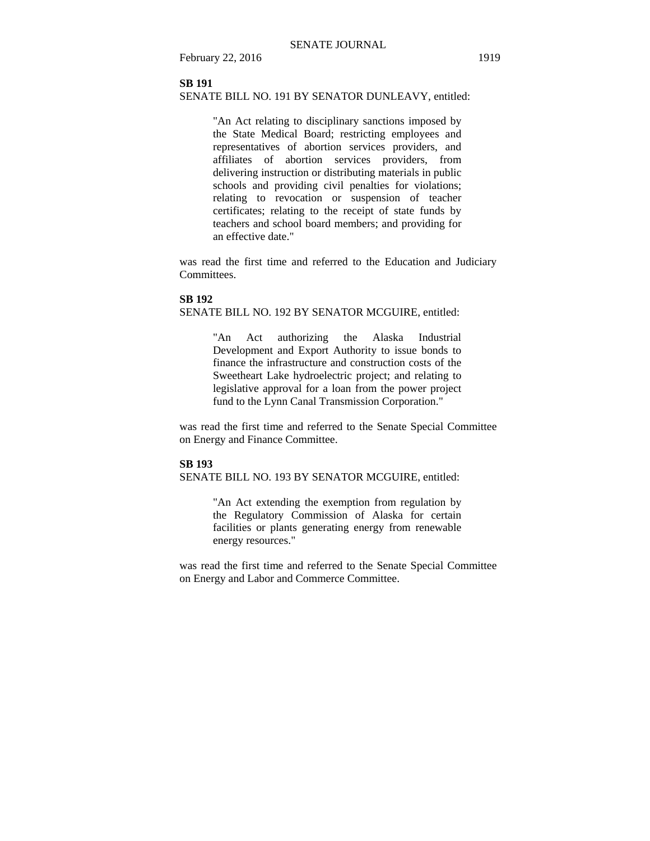#### **SB 191**

#### SENATE BILL NO. 191 BY SENATOR DUNLEAVY, entitled:

"An Act relating to disciplinary sanctions imposed by the State Medical Board; restricting employees and representatives of abortion services providers, and affiliates of abortion services providers, from delivering instruction or distributing materials in public schools and providing civil penalties for violations; relating to revocation or suspension of teacher certificates; relating to the receipt of state funds by teachers and school board members; and providing for an effective date."

was read the first time and referred to the Education and Judiciary Committees.

#### **SB 192**

SENATE BILL NO. 192 BY SENATOR MCGUIRE, entitled:

"An Act authorizing the Alaska Industrial Development and Export Authority to issue bonds to finance the infrastructure and construction costs of the Sweetheart Lake hydroelectric project; and relating to legislative approval for a loan from the power project fund to the Lynn Canal Transmission Corporation."

was read the first time and referred to the Senate Special Committee on Energy and Finance Committee.

#### **SB 193**

SENATE BILL NO. 193 BY SENATOR MCGUIRE, entitled:

"An Act extending the exemption from regulation by the Regulatory Commission of Alaska for certain facilities or plants generating energy from renewable energy resources."

was read the first time and referred to the Senate Special Committee on Energy and Labor and Commerce Committee.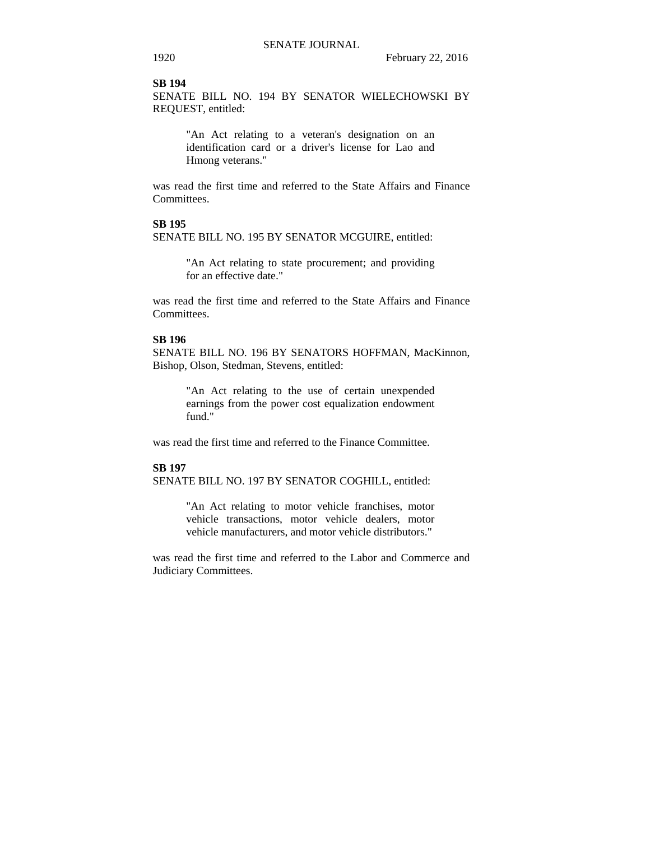#### **SB 194**

SENATE BILL NO. 194 BY SENATOR WIELECHOWSKI BY REQUEST, entitled:

> "An Act relating to a veteran's designation on an identification card or a driver's license for Lao and Hmong veterans."

was read the first time and referred to the State Affairs and Finance Committees.

#### **SB 195**

SENATE BILL NO. 195 BY SENATOR MCGUIRE, entitled:

"An Act relating to state procurement; and providing for an effective date."

was read the first time and referred to the State Affairs and Finance Committees.

#### **SB 196**

SENATE BILL NO. 196 BY SENATORS HOFFMAN, MacKinnon, Bishop, Olson, Stedman, Stevens, entitled:

> "An Act relating to the use of certain unexpended earnings from the power cost equalization endowment fund."

was read the first time and referred to the Finance Committee.

#### **SB 197**

SENATE BILL NO. 197 BY SENATOR COGHILL, entitled:

"An Act relating to motor vehicle franchises, motor vehicle transactions, motor vehicle dealers, motor vehicle manufacturers, and motor vehicle distributors."

was read the first time and referred to the Labor and Commerce and Judiciary Committees.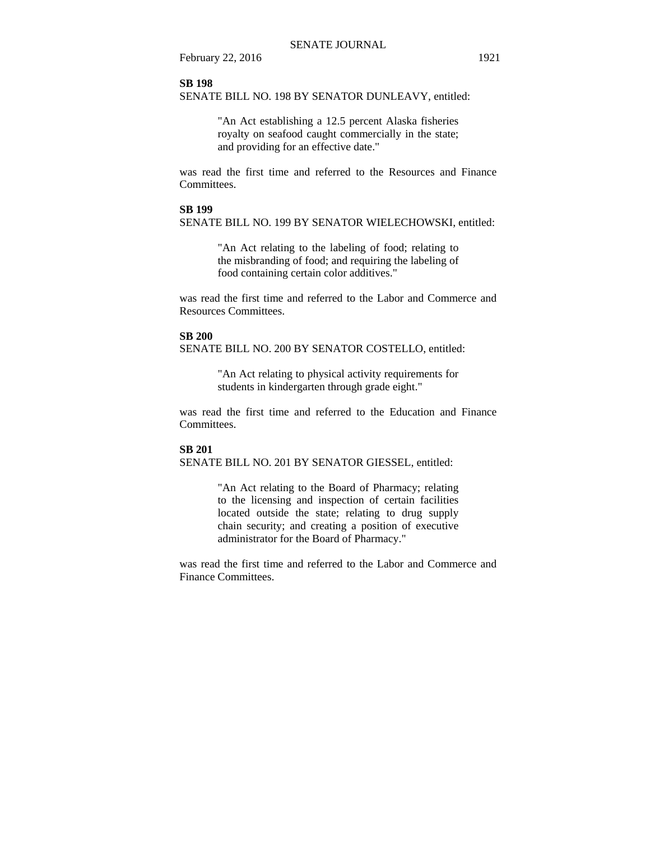#### **SB 198**

SENATE BILL NO. 198 BY SENATOR DUNLEAVY, entitled:

"An Act establishing a 12.5 percent Alaska fisheries royalty on seafood caught commercially in the state; and providing for an effective date."

was read the first time and referred to the Resources and Finance **Committees** 

## **SB 199**

SENATE BILL NO. 199 BY SENATOR WIELECHOWSKI, entitled:

"An Act relating to the labeling of food; relating to the misbranding of food; and requiring the labeling of food containing certain color additives."

was read the first time and referred to the Labor and Commerce and Resources Committees.

#### **SB 200**

SENATE BILL NO. 200 BY SENATOR COSTELLO, entitled:

"An Act relating to physical activity requirements for students in kindergarten through grade eight."

was read the first time and referred to the Education and Finance Committees.

#### **SB 201**

SENATE BILL NO. 201 BY SENATOR GIESSEL, entitled:

"An Act relating to the Board of Pharmacy; relating to the licensing and inspection of certain facilities located outside the state; relating to drug supply chain security; and creating a position of executive administrator for the Board of Pharmacy."

was read the first time and referred to the Labor and Commerce and Finance Committees.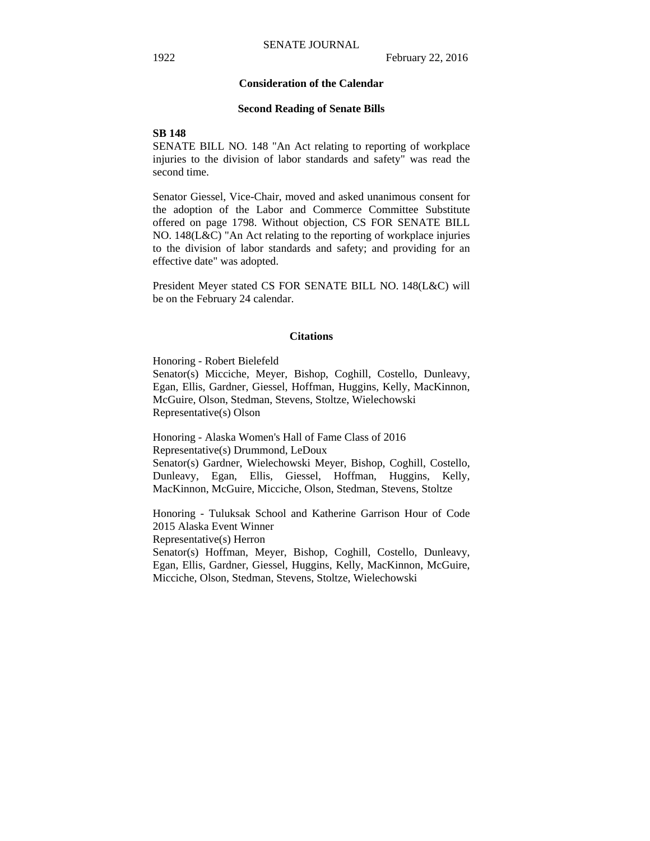#### **Consideration of the Calendar**

#### **Second Reading of Senate Bills**

#### **SB 148**

SENATE BILL NO. 148 "An Act relating to reporting of workplace injuries to the division of labor standards and safety" was read the second time.

Senator Giessel, Vice-Chair, moved and asked unanimous consent for the adoption of the Labor and Commerce Committee Substitute offered on page 1798. Without objection, CS FOR SENATE BILL NO. 148(L&C) "An Act relating to the reporting of workplace injuries to the division of labor standards and safety; and providing for an effective date" was adopted.

President Meyer stated CS FOR SENATE BILL NO. 148(L&C) will be on the February 24 calendar.

#### **Citations**

Honoring - Robert Bielefeld

Senator(s) Micciche, Meyer, Bishop, Coghill, Costello, Dunleavy, Egan, Ellis, Gardner, Giessel, Hoffman, Huggins, Kelly, MacKinnon, McGuire, Olson, Stedman, Stevens, Stoltze, Wielechowski Representative(s) Olson

Honoring - Alaska Women's Hall of Fame Class of 2016 Representative(s) Drummond, LeDoux Senator(s) Gardner, Wielechowski Meyer, Bishop, Coghill, Costello, Dunleavy, Egan, Ellis, Giessel, Hoffman, Huggins, Kelly, MacKinnon, McGuire, Micciche, Olson, Stedman, Stevens, Stoltze

Honoring - Tuluksak School and Katherine Garrison Hour of Code 2015 Alaska Event Winner Representative(s) Herron Senator(s) Hoffman, Meyer, Bishop, Coghill, Costello, Dunleavy, Egan, Ellis, Gardner, Giessel, Huggins, Kelly, MacKinnon, McGuire, Micciche, Olson, Stedman, Stevens, Stoltze, Wielechowski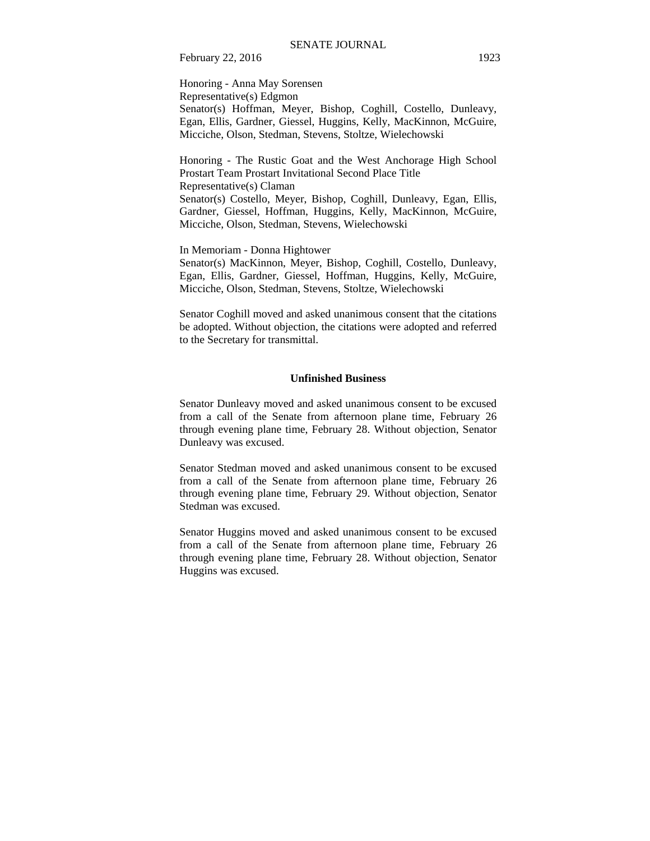Honoring - Anna May Sorensen Representative(s) Edgmon Senator(s) Hoffman, Meyer, Bishop, Coghill, Costello, Dunleavy, Egan, Ellis, Gardner, Giessel, Huggins, Kelly, MacKinnon, McGuire, Micciche, Olson, Stedman, Stevens, Stoltze, Wielechowski

Honoring - The Rustic Goat and the West Anchorage High School Prostart Team Prostart Invitational Second Place Title Representative(s) Claman Senator(s) Costello, Meyer, Bishop, Coghill, Dunleavy, Egan, Ellis, Gardner, Giessel, Hoffman, Huggins, Kelly, MacKinnon, McGuire, Micciche, Olson, Stedman, Stevens, Wielechowski

In Memoriam - Donna Hightower Senator(s) MacKinnon, Meyer, Bishop, Coghill, Costello, Dunleavy, Egan, Ellis, Gardner, Giessel, Hoffman, Huggins, Kelly, McGuire, Micciche, Olson, Stedman, Stevens, Stoltze, Wielechowski

Senator Coghill moved and asked unanimous consent that the citations be adopted. Without objection, the citations were adopted and referred to the Secretary for transmittal.

#### **Unfinished Business**

Senator Dunleavy moved and asked unanimous consent to be excused from a call of the Senate from afternoon plane time, February 26 through evening plane time, February 28. Without objection, Senator Dunleavy was excused.

Senator Stedman moved and asked unanimous consent to be excused from a call of the Senate from afternoon plane time, February 26 through evening plane time, February 29. Without objection, Senator Stedman was excused.

Senator Huggins moved and asked unanimous consent to be excused from a call of the Senate from afternoon plane time, February 26 through evening plane time, February 28. Without objection, Senator Huggins was excused.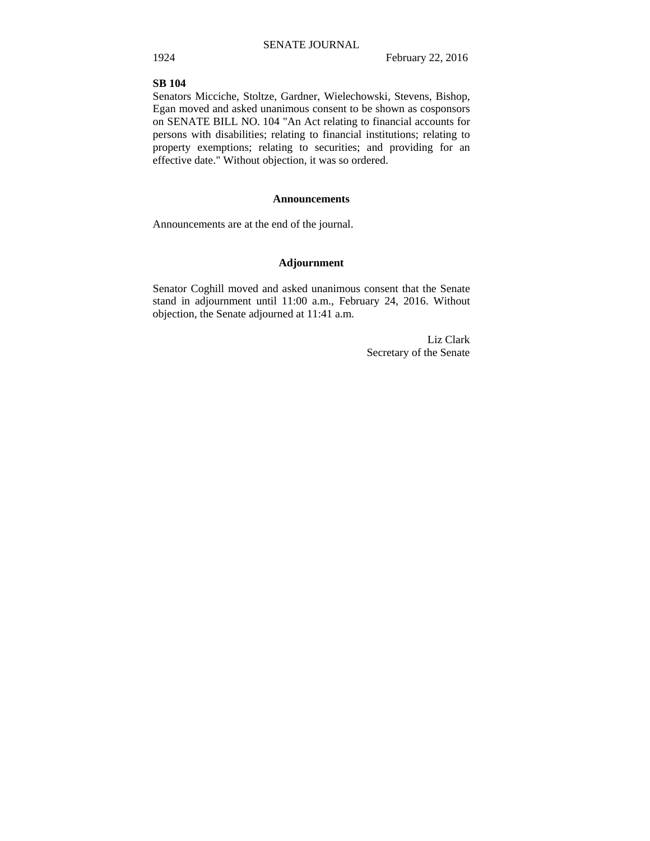## **SB 104**

Senators Micciche, Stoltze, Gardner, Wielechowski, Stevens, Bishop, Egan moved and asked unanimous consent to be shown as cosponsors on SENATE BILL NO. 104 "An Act relating to financial accounts for persons with disabilities; relating to financial institutions; relating to property exemptions; relating to securities; and providing for an effective date." Without objection, it was so ordered.

#### **Announcements**

Announcements are at the end of the journal.

## **Adjournment**

Senator Coghill moved and asked unanimous consent that the Senate stand in adjournment until 11:00 a.m., February 24, 2016. Without objection, the Senate adjourned at 11:41 a.m.

> Liz Clark Secretary of the Senate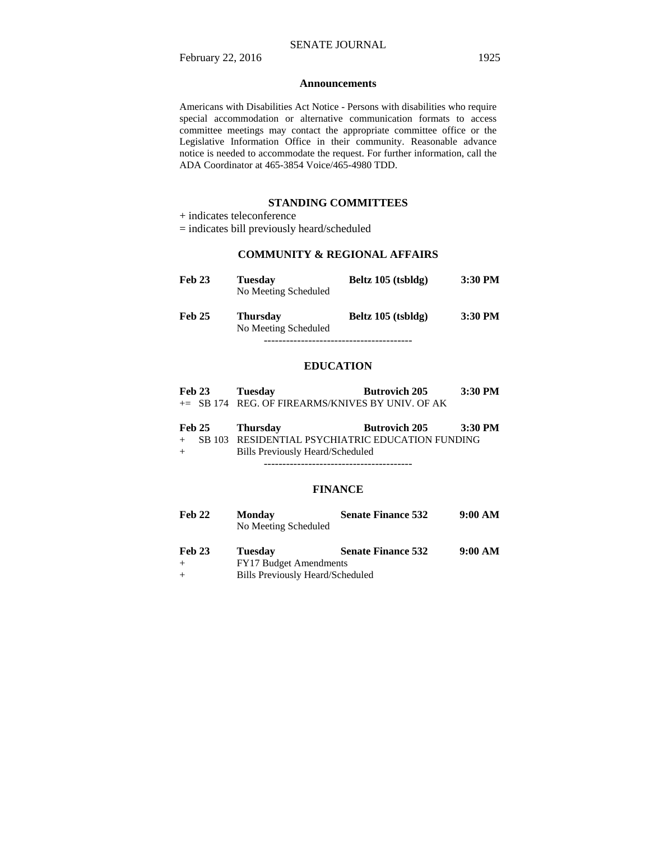### **Announcements**

Americans with Disabilities Act Notice - Persons with disabilities who require special accommodation or alternative communication formats to access committee meetings may contact the appropriate committee office or the Legislative Information Office in their community. Reasonable advance notice is needed to accommodate the request. For further information, call the ADA Coordinator at 465-3854 Voice/465-4980 TDD.

## **STANDING COMMITTEES**

+ indicates teleconference

= indicates bill previously heard/scheduled

## **COMMUNITY & REGIONAL AFFAIRS**

| <b>Feb 23</b> | <b>Tuesday</b><br>No Meeting Scheduled  | Beltz $105$ (tsbldg) | 3:30 PM   |
|---------------|-----------------------------------------|----------------------|-----------|
| <b>Feb 25</b> | <b>Thursday</b><br>No Meeting Scheduled | Beltz 105 (tsbldg)   | $3:30$ PM |
|               |                                         |                      |           |

## **EDUCATION**

| <b>Feb 23</b> | Tuesday | <b>Butrovich 205</b>                               | 3:30 PM |
|---------------|---------|----------------------------------------------------|---------|
|               |         | $+=$ SB 174 REG. OF FIREARMS/KNIVES BY UNIV. OF AK |         |

| <b>Feb 25</b> | <b>Thursday</b>                                    | <b>Butrovich 205</b> | 3:30 PM |
|---------------|----------------------------------------------------|----------------------|---------|
|               | + SB 103 RESIDENTIAL PSYCHIATRIC EDUCATION FUNDING |                      |         |
| $+$           | Bills Previously Heard/Scheduled                   |                      |         |

----------------------------------------

## **FINANCE**

| <b>Feb 22</b> | <b>Monday</b><br>No Meeting Scheduled | <b>Senate Finance 532</b> | 9:00 AM |
|---------------|---------------------------------------|---------------------------|---------|
| <b>Feb 23</b> | Tuesdav                               | <b>Senate Finance 532</b> | 9:00 AM |

+ FY17 Budget Amendments + Bills Previously Heard/Scheduled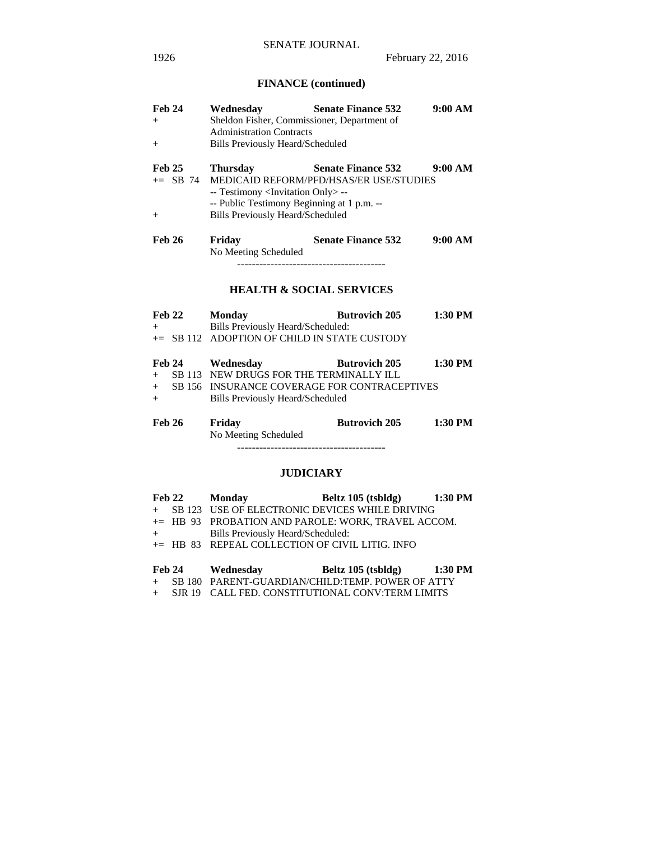## **FINANCE (continued)**

| <b>Feb 24</b> | Wednesdav                                         | <b>Senate Finance 532</b>                        | 9:00 AM |
|---------------|---------------------------------------------------|--------------------------------------------------|---------|
| $^{+}$        | Sheldon Fisher, Commissioner, Department of       |                                                  |         |
|               | <b>Administration Contracts</b>                   |                                                  |         |
| $+$           | <b>Bills Previously Heard/Scheduled</b>           |                                                  |         |
| <b>Feb 25</b> | <b>Thursday</b>                                   | <b>Senate Finance 532</b>                        | 9:00 AM |
|               |                                                   | += SB 74 MEDICAID REFORM/PFD/HSAS/ER USE/STUDIES |         |
|               | -- Testimony <invitation only=""> --</invitation> |                                                  |         |
|               | -- Public Testimony Beginning at 1 p.m. --        |                                                  |         |
| $+$           | <b>Bills Previously Heard/Scheduled</b>           |                                                  |         |
| <b>Feb 26</b> | Friday                                            | <b>Senate Finance 532</b>                        | 9:00 AM |
|               | No Meeting Scheduled                              |                                                  |         |
|               |                                                   |                                                  |         |
|               |                                                   | <b>HEALTH &amp; SOCIAL SERVICES</b>              |         |
| Feb 22        | Monday                                            | <b>Butrovich 205</b>                             | 1:30 PM |
| $^{+}$        | Bills Previously Heard/Scheduled:                 |                                                  |         |

|  | Feb 24 Wednesday                               | <b>Butrovich 205</b> | $1:30$ PM |
|--|------------------------------------------------|----------------------|-----------|
|  | + SB 113 NEW DRUGS FOR THE TERMINALLY ILL      |                      |           |
|  | + SB 156 INSURANCE COVERAGE FOR CONTRACEPTIVES |                      |           |
|  | Bills Previously Heard/Scheduled               |                      |           |

+= SB 112 ADOPTION OF CHILD IN STATE CUSTODY

**Feb 26 Friday Butrovich 205 1:30 PM**  No Meeting Scheduled

----------------------------------------

## **JUDICIARY**

|               | Feb 22 Monday                                     | Beltz 105 (tsbldg) 1:30 PM                         |         |
|---------------|---------------------------------------------------|----------------------------------------------------|---------|
|               |                                                   | + SB 123 USE OF ELECTRONIC DEVICES WHILE DRIVING   |         |
|               |                                                   | += HB 93 PROBATION AND PAROLE: WORK, TRAVEL ACCOM. |         |
| $+$ $-$       | Bills Previously Heard/Scheduled:                 |                                                    |         |
|               | $+=$ HB 83 REPEAL COLLECTION OF CIVIL LITIG. INFO |                                                    |         |
| <b>Feb 24</b> | Wednesday                                         | Beltz 105 (tsbldg)                                 | 1:30 PM |

| FED 44 | <i>v</i> edilesday | Denz Top (rspidg)                                                     | -1.30 Г.М. |
|--------|--------------------|-----------------------------------------------------------------------|------------|
|        |                    | + SB 180 PARENT-GUARDIAN/CHILD:TEMP. POWER OF ATTY                    |            |
|        |                    | $CUT$ $TPTD$ $CQUT$ $TPTTTT$ $CUTT$ $TQTT$ $TTT$ $TTTT$ $TTTT$ $TTTQ$ |            |

+ SJR 19 CALL FED. CONSTITUTIONAL CONV:TERM LIMITS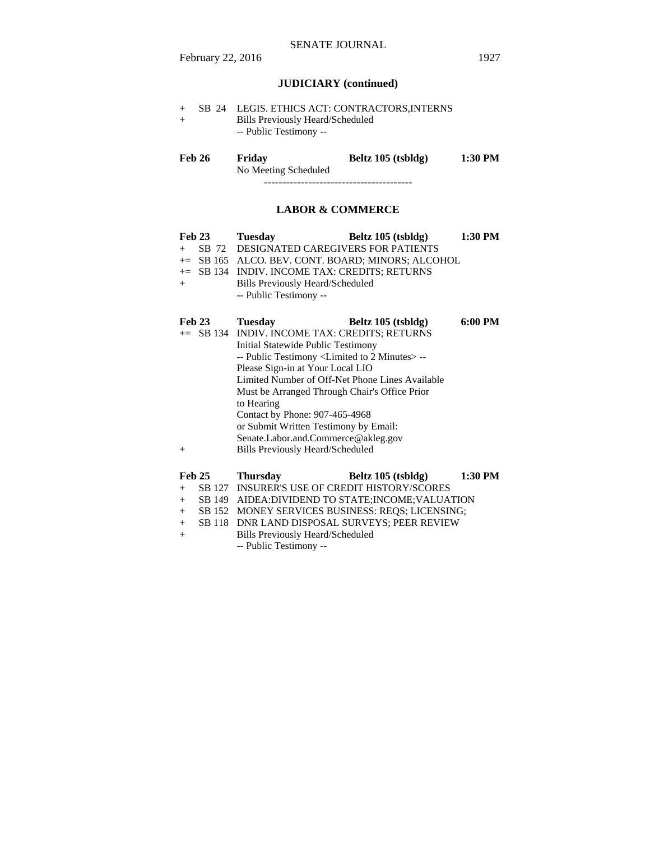# **JUDICIARY (continued)**

| SB 24         | Bills Previously Heard/Scheduled<br>-- Public Testimony -- | LEGIS. ETHICS ACT: CONTRACTORS,INTERNS |         |
|---------------|------------------------------------------------------------|----------------------------------------|---------|
| <b>Feb 26</b> | Friday<br>No Meeting Scheduled                             | Beltz 105 (tsbldg)                     | 1:30 PM |

# **LABOR & COMMERCE**

| <b>Feb 23</b><br>SB 72<br>$+$<br>$+=$<br>$+$ | <b>Tuesday</b><br>Beltz 105 (tsbldg)<br><b>DESIGNATED CAREGIVERS FOR PATIENTS</b><br>SB 165 ALCO. BEV. CONT. BOARD; MINORS; ALCOHOL<br>+= SB 134 INDIV. INCOME TAX: CREDITS; RETURNS<br><b>Bills Previously Heard/Scheduled</b><br>-- Public Testimony --                                                                                                                                                                        | 1:30 PM |
|----------------------------------------------|----------------------------------------------------------------------------------------------------------------------------------------------------------------------------------------------------------------------------------------------------------------------------------------------------------------------------------------------------------------------------------------------------------------------------------|---------|
| <b>Feb 23</b>                                | <b>Tuesday</b><br>Beltz 105 (tsbldg)<br>+= SB 134 INDIV. INCOME TAX: CREDITS; RETURNS                                                                                                                                                                                                                                                                                                                                            | 6:00 PM |
| $+$                                          | Initial Statewide Public Testimony<br>-- Public Testimony <limited 2="" minutes="" to="">--<br/>Please Sign-in at Your Local LIO<br/>Limited Number of Off-Net Phone Lines Available<br/>Must be Arranged Through Chair's Office Prior<br/>to Hearing<br/>Contact by Phone: 907-465-4968<br/>or Submit Written Testimony by Email:<br/>Senate.Labor.and.Commerce@akleg.gov<br/><b>Bills Previously Heard/Scheduled</b></limited> |         |
| <b>Feb 25</b>                                | <b>Thursday</b><br>Beltz 105 (tsbldg)                                                                                                                                                                                                                                                                                                                                                                                            | 1:30 PM |
| SB 127<br>$+$                                | <b>INSURER'S USE OF CREDIT HISTORY/SCORES</b>                                                                                                                                                                                                                                                                                                                                                                                    |         |
| $+$                                          | SB 149 AIDEA: DIVIDEND TO STATE; INCOME; VALUATION                                                                                                                                                                                                                                                                                                                                                                               |         |
| SB 152<br>$^{+}$                             | MONEY SERVICES BUSINESS: REQS; LICENSING;                                                                                                                                                                                                                                                                                                                                                                                        |         |

- + SB 118 DNR LAND DISPOSAL SURVEYS; PEER REVIEW
- + Bills Previously Heard/Scheduled

-- Public Testimony --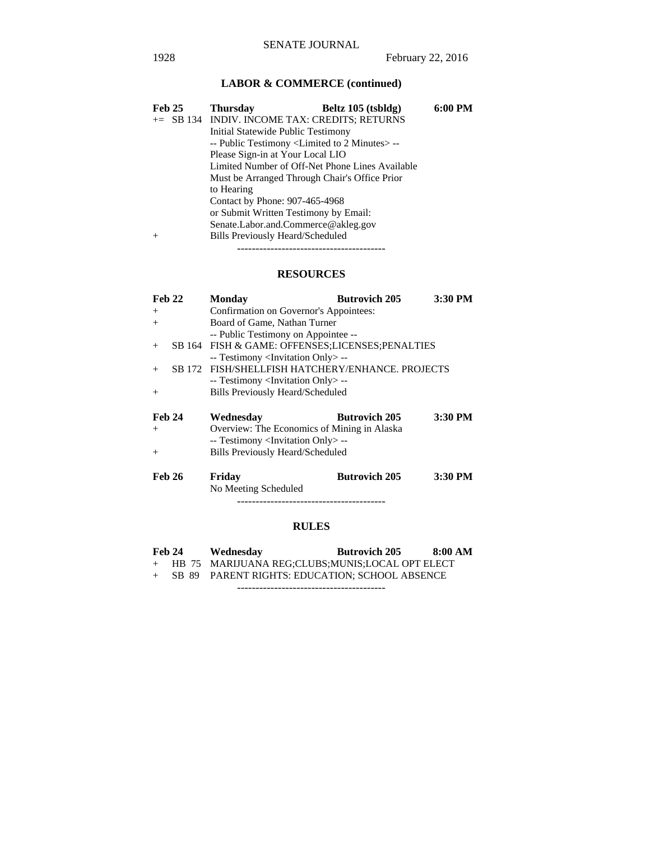# **LABOR & COMMERCE (continued)**

| <b>Feb 25</b> | <b>Thursday</b>                                                  | Beltz 105 (tsbldg)                              | 6:00 PM |  |  |
|---------------|------------------------------------------------------------------|-------------------------------------------------|---------|--|--|
|               |                                                                  | $+=$ SB 134 INDIV. INCOME TAX: CREDITS; RETURNS |         |  |  |
|               |                                                                  | Initial Statewide Public Testimony              |         |  |  |
|               | -- Public Testimony <limited 2="" minutes="" to=""> --</limited> |                                                 |         |  |  |
|               | Please Sign-in at Your Local LIO                                 |                                                 |         |  |  |
|               | Limited Number of Off-Net Phone Lines Available                  |                                                 |         |  |  |
|               | Must be Arranged Through Chair's Office Prior                    |                                                 |         |  |  |
|               | to Hearing                                                       |                                                 |         |  |  |
|               | Contact by Phone: 907-465-4968                                   |                                                 |         |  |  |
|               | or Submit Written Testimony by Email:                            |                                                 |         |  |  |
|               | Senate.Labor.and.Commerce@akleg.gov                              |                                                 |         |  |  |
| $^{+}$        | <b>Bills Previously Heard/Scheduled</b>                          |                                                 |         |  |  |
|               |                                                                  |                                                 |         |  |  |

## **RESOURCES**

| Feb <sub>22</sub> | <b>Monday</b>                                     | <b>Butrovich 205</b> | 3:30 PM |  |
|-------------------|---------------------------------------------------|----------------------|---------|--|
| $^{+}$            | Confirmation on Governor's Appointees:            |                      |         |  |
| $+$               | Board of Game, Nathan Turner                      |                      |         |  |
|                   | -- Public Testimony on Appointee --               |                      |         |  |
| $+$               | SB 164 FISH & GAME: OFFENSES;LICENSES;PENALTIES   |                      |         |  |
|                   | -- Testimony <invitation only=""> --</invitation> |                      |         |  |
| $+$               | SB 172 FISH/SHELLFISH HATCHERY/ENHANCE. PROJECTS  |                      |         |  |
|                   | -- Testimony <invitation only=""> --</invitation> |                      |         |  |
| $+$               | <b>Bills Previously Heard/Scheduled</b>           |                      |         |  |
| <b>Feb 24</b>     | Wednesday                                         | <b>Butrovich 205</b> | 3:30 PM |  |
| $+$               | Overview: The Economics of Mining in Alaska       |                      |         |  |
|                   | -- Testimony <invitation only=""> --</invitation> |                      |         |  |
| $+$               | <b>Bills Previously Heard/Scheduled</b>           |                      |         |  |
| <b>Feb 26</b>     | Fridav                                            | <b>Butrovich 205</b> | 3:30 PM |  |

No Meeting Scheduled

----------------------------------------

## **RULES**

| <b>Feb 24</b> |  | Wednesday                                         | <b>Butrovich 205</b> | 8:00 AM |
|---------------|--|---------------------------------------------------|----------------------|---------|
|               |  | + HB 75 MARIJUANA REG;CLUBS;MUNIS;LOCAL OPT ELECT |                      |         |
|               |  | + SB 89 PARENT RIGHTS: EDUCATION; SCHOOL ABSENCE  |                      |         |

----------------------------------------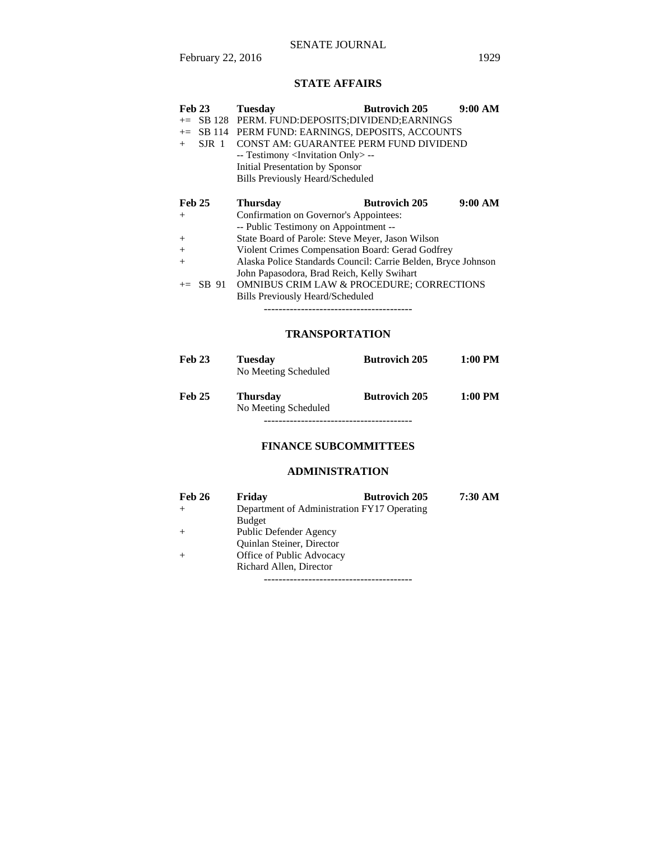## **STATE AFFAIRS**

| <b>Feb 23</b>                        | <b>Tuesday</b>                                                | <b>Butrovich 205</b> | 9:00 AM |
|--------------------------------------|---------------------------------------------------------------|----------------------|---------|
| $+=$                                 | SB 128 PERM. FUND:DEPOSITS:DIVIDEND:EARNINGS                  |                      |         |
| SB 114<br>$+=$                       | PERM FUND: EARNINGS, DEPOSITS, ACCOUNTS                       |                      |         |
| $S \, \text{J} \, \text{R}$ 1<br>$+$ | CONST AM: GUARANTEE PERM FUND DIVIDEND                        |                      |         |
|                                      | -- Testimony <invitation only=""> --</invitation>             |                      |         |
|                                      | Initial Presentation by Sponsor                               |                      |         |
|                                      | <b>Bills Previously Heard/Scheduled</b>                       |                      |         |
|                                      |                                                               |                      |         |
|                                      |                                                               |                      |         |
| <b>Feb 25</b>                        | <b>Thursday</b>                                               | <b>Butrovich 205</b> | 9:00 AM |
| $^{+}$                               | Confirmation on Governor's Appointees:                        |                      |         |
|                                      | -- Public Testimony on Appointment --                         |                      |         |
| $^{+}$                               | State Board of Parole: Steve Meyer, Jason Wilson              |                      |         |
| $+$                                  | Violent Crimes Compensation Board: Gerad Godfrey              |                      |         |
| $^{+}$                               | Alaska Police Standards Council: Carrie Belden, Bryce Johnson |                      |         |
|                                      | John Papasodora, Brad Reich, Kelly Swihart                    |                      |         |

+= SB 91 OMNIBUS CRIM LAW & PROCEDURE; CORRECTIONS Bills Previously Heard/Scheduled

----------------------------------------

## **TRANSPORTATION**

| <b>Feb 23</b> | Tuesday<br>No Meeting Scheduled         | <b>Butrovich 205</b> | 1:00 PM |
|---------------|-----------------------------------------|----------------------|---------|
| <b>Feb 25</b> | <b>Thursday</b><br>No Meeting Scheduled | <b>Butrovich 205</b> | 1:00 PM |

----------------------------------------

## **FINANCE SUBCOMMITTEES**

## **ADMINISTRATION**

| <b>Feb 26</b> | Friday                                      | <b>Butrovich 205</b> | 7:30 AM |
|---------------|---------------------------------------------|----------------------|---------|
| $+$           | Department of Administration FY17 Operating |                      |         |
|               | <b>Budget</b>                               |                      |         |
| $+$           | Public Defender Agency                      |                      |         |
|               | Quinlan Steiner, Director                   |                      |         |
| $+$           | Office of Public Advocacy                   |                      |         |
|               | Richard Allen, Director                     |                      |         |
|               |                                             |                      |         |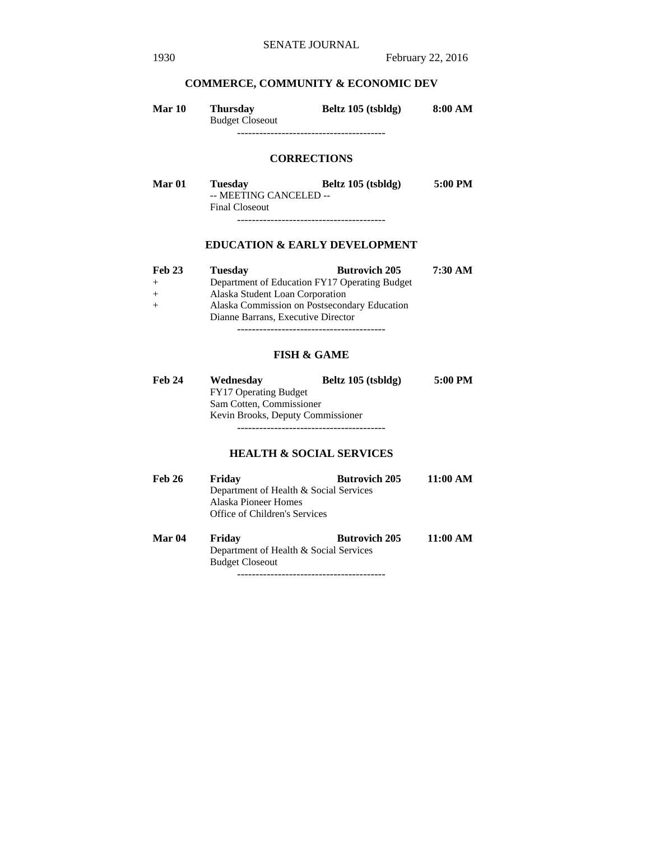# **COMMERCE, COMMUNITY & ECONOMIC DEV**

| Mar 10 | <b>Thursday</b>        | Beltz 105 (tsbldg) | 8:00 AM |
|--------|------------------------|--------------------|---------|
|        | <b>Budget Closeout</b> |                    |         |
|        |                        |                    |         |

## **CORRECTIONS**

| Mar 01 | <b>Tuesday</b>         | Beltz 105 (tsbldg) | 5:00 PM |
|--------|------------------------|--------------------|---------|
|        | -- MEETING CANCELED -- |                    |         |
|        | Final Closeout         |                    |         |
|        |                        |                    |         |

## **EDUCATION & EARLY DEVELOPMENT**

| <b>Feb 23</b> | <b>Tuesday</b>                     | <b>Butrovich 205</b>                          | 7:30 AM |
|---------------|------------------------------------|-----------------------------------------------|---------|
| $+$           |                                    | Department of Education FY17 Operating Budget |         |
| $+$           | Alaska Student Loan Corporation    |                                               |         |
| $+$           |                                    | Alaska Commission on Postsecondary Education  |         |
|               | Dianne Barrans, Executive Director |                                               |         |
|               |                                    |                                               |         |

## **FISH & GAME**

| <b>Feb 24</b> | Wednesday                         | Beltz 105 (tsbldg) | 5:00 PM |  |  |
|---------------|-----------------------------------|--------------------|---------|--|--|
|               | <b>FY17 Operating Budget</b>      |                    |         |  |  |
|               | Sam Cotten, Commissioner          |                    |         |  |  |
|               | Kevin Brooks, Deputy Commissioner |                    |         |  |  |
|               |                                   |                    |         |  |  |

## **HEALTH & SOCIAL SERVICES**

| <b>Feb 26</b> | Friday                                                                                          | <b>Butrovich 205</b> | 11:00 AM |  |
|---------------|-------------------------------------------------------------------------------------------------|----------------------|----------|--|
|               | Department of Health & Social Services<br>Alaska Pioneer Homes<br>Office of Children's Services |                      |          |  |
| Mar 04        | Friday                                                                                          | <b>Butrovich 205</b> | 11:00 AM |  |
|               | Department of Health & Social Services                                                          |                      |          |  |

Budget Closeout

----------------------------------------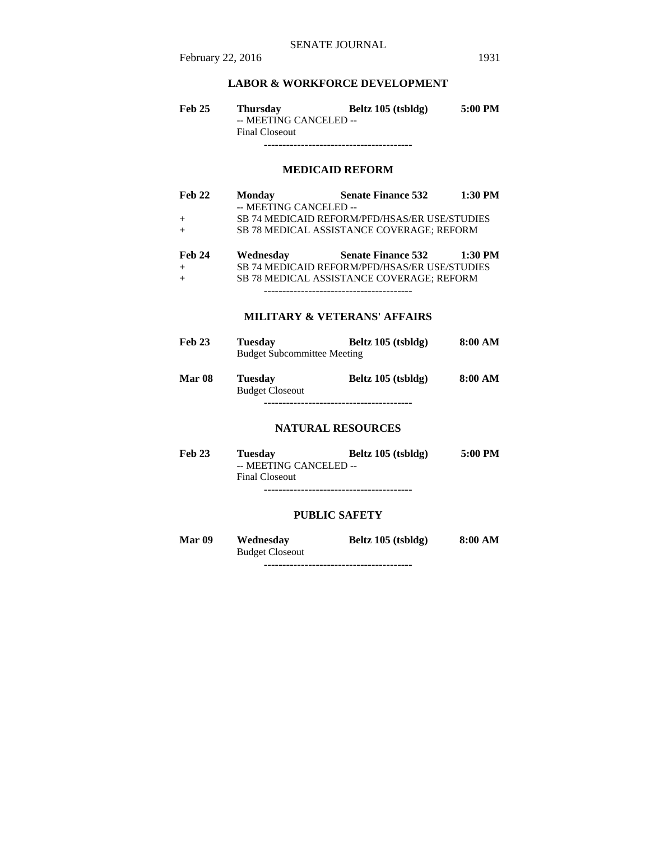## **LABOR & WORKFORCE DEVELOPMENT**

**Feb 25 Thursday Beltz 105 (tsbldg) 5:00 PM**  -- MEETING CANCELED -- Final Closeout ----------------------------------------

## **MEDICAID REFORM**

- Feb 22 Monday **Senate Finance 532** 1:30 PM -- MEETING CANCELED -- + SB 74 MEDICAID REFORM/PFD/HSAS/ER USE/STUDIES + SB 78 MEDICAL ASSISTANCE COVERAGE; REFORM
- **Feb 24 Wednesday Senate Finance 532 1:30 PM**  + SB 74 MEDICAID REFORM/PFD/HSAS/ER USE/STUDIES + SB 78 MEDICAL ASSISTANCE COVERAGE; REFORM ----------------------------------------

## **MILITARY & VETERANS' AFFAIRS**

| <b>Feb 23</b> | Tuesdav                            | Beltz 105 (tsbldg) | 8:00 AM |  |
|---------------|------------------------------------|--------------------|---------|--|
|               | <b>Budget Subcommittee Meeting</b> |                    |         |  |
| <b>Mar 08</b> | Tuesdav                            | Beltz 105 (tsbldg) | 8:00 AM |  |
|               | <b>Budget Closeout</b>             |                    |         |  |

----------------------------------------

## **NATURAL RESOURCES**

| <b>Feb 23</b> | <b>Tuesday</b>         | Beltz 105 (tsbldg) | 5:00 PM |
|---------------|------------------------|--------------------|---------|
|               | -- MEETING CANCELED -- |                    |         |
|               | <b>Final Closeout</b>  |                    |         |

----------------------------------------

## **PUBLIC SAFETY**

| <b>Mar 09</b> | Wednesday              | Beltz 105 (tsbldg) | 8:00 AM |
|---------------|------------------------|--------------------|---------|
|               | <b>Budget Closeout</b> |                    |         |
|               |                        |                    |         |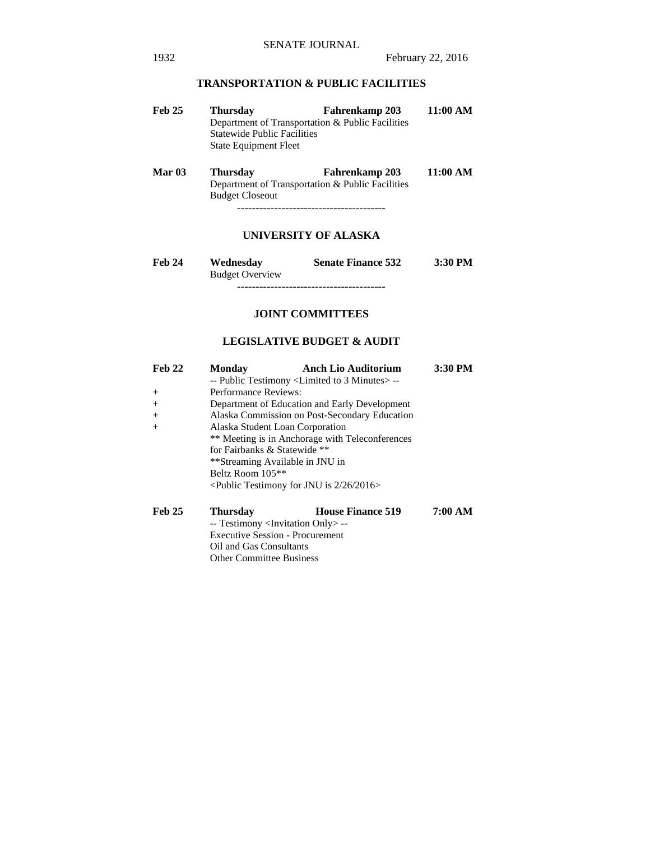## **TRANSPORTATION & PUBLIC FACILITIES**

- **Feb 25 Thursday Fahrenkamp 203 11:00 AM**  Department of Transportation & Public Facilities Statewide Public Facilities State Equipment Fleet
- **Mar 03 Thursday Fahrenkamp 203 11:00 AM**  Department of Transportation & Public Facilities Budget Closeout ----------------------------------------

## **UNIVERSITY OF ALASKA**

| <b>Feb 24</b> | Wednesday              | <b>Senate Finance 532</b> | $3:30$ PM |  |
|---------------|------------------------|---------------------------|-----------|--|
|               | <b>Budget Overview</b> |                           |           |  |
|               |                        |                           |           |  |

#### **JOINT COMMITTEES**

## **LEGISLATIVE BUDGET & AUDIT**

| Feb 22        | <b>Monday</b>                                                                                | Anch Lio Auditorium                           | 3:30 PM |  |
|---------------|----------------------------------------------------------------------------------------------|-----------------------------------------------|---------|--|
|               | -- Public Testimony <limited 3="" minutes="" to=""> --</limited>                             |                                               |         |  |
| $+$           | Performance Reviews:                                                                         |                                               |         |  |
| $+$           |                                                                                              | Department of Education and Early Development |         |  |
| $^{+}$        |                                                                                              | Alaska Commission on Post-Secondary Education |         |  |
| $+$           | Alaska Student Loan Corporation                                                              |                                               |         |  |
|               | ** Meeting is in Anchorage with Teleconferences                                              |                                               |         |  |
|               | for Fairbanks & Statewide **                                                                 |                                               |         |  |
|               | **Streaming Available in JNU in                                                              |                                               |         |  |
|               | Beltz Room 105 <sup>**</sup>                                                                 |                                               |         |  |
|               | <public 2="" 2016="" 26="" for="" is="" jnu="" testimony=""></public>                        |                                               |         |  |
| <b>Feb 25</b> | <b>Thursday</b>                                                                              | <b>House Finance 519</b>                      | 7:00 AM |  |
|               | -- Testimony <invitation only=""> --<br/><b>Executive Session - Procurement</b></invitation> |                                               |         |  |
|               |                                                                                              |                                               |         |  |
|               | Oil and Gas Consultants                                                                      |                                               |         |  |

Other Committee Business